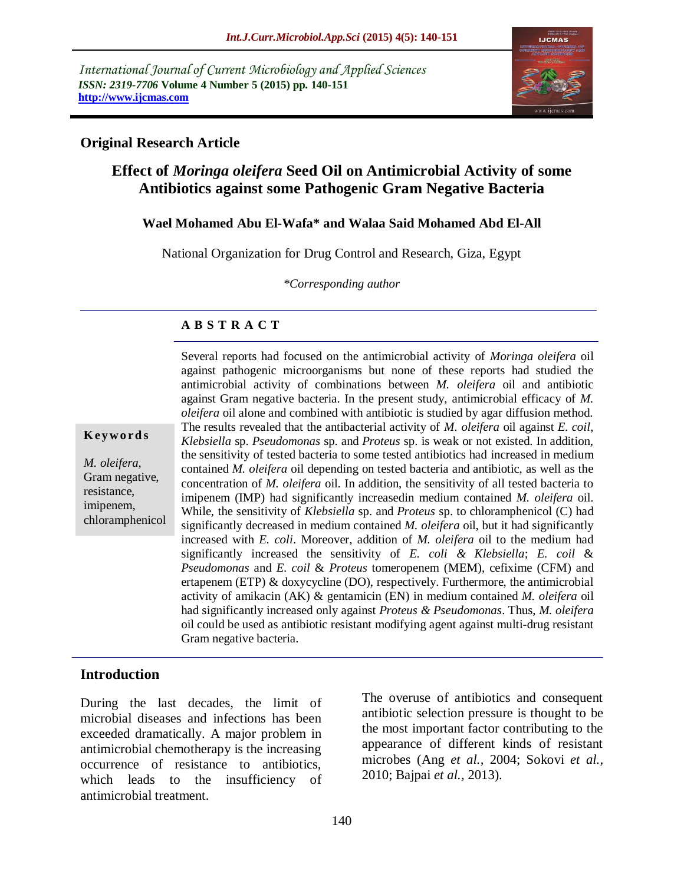*International Journal of Current Microbiology and Applied Sciences ISSN: 2319-7706* **Volume 4 Number 5 (2015) pp. 140-151 http://www.ijcmas.com** 



### **Original Research Article**

# **Effect of** *Moringa oleifera* **Seed Oil on Antimicrobial Activity of some Antibiotics against some Pathogenic Gram Negative Bacteria**

### **Wael Mohamed Abu El-Wafa\* and Walaa Said Mohamed Abd El-All**

National Organization for Drug Control and Research, Giza, Egypt

*\*Corresponding author*

### **A B S T R A C T**

**K ey w o rd s**

*M. oleifera,* Gram negative, resistance, imipenem, chloramphenicol against pathogenic microorganisms but none of these reports had studied the antimicrobial activity of combinations between *M. oleifera* oil and antibiotic against Gram negative bacteria. In the present study, antimicrobial efficacy of *M. oleifera* oil alone and combined with antibiotic is studied by agar diffusion method. The results revealed that the antibacterial activity of *M. oleifera* oil against *E. coil*, *Klebsiella* sp. *Pseudomonas* sp. and *Proteus* sp. is weak or not existed. In addition, the sensitivity of tested bacteria to some tested antibiotics had increased in medium contained *M. oleifera* oil depending on tested bacteria and antibiotic, as well as the concentration of *M. oleifera* oil. In addition, the sensitivity of all tested bacteria to imipenem (IMP) had significantly increasedin medium contained *M. oleifera* oil. While, the sensitivity of *Klebsiella* sp. and *Proteus* sp. to chloramphenicol (C) had significantly decreased in medium contained *M. oleifera* oil, but it had significantly increased with *E. coli*. Moreover, addition of *M. oleifera* oil to the medium had significantly increased the sensitivity of *E. coli & Klebsiella*; *E. coil* & *Pseudomonas* and *E. coil* & *Proteus* tomeropenem (MEM), cefixime (CFM) and ertapenem (ETP) & doxycycline (DO), respectively. Furthermore, the antimicrobial activity of amikacin (AK) & gentamicin (EN) in medium contained *M. oleifera* oil had significantly increased only against *Proteus & Pseudomonas*. Thus, *M. oleifera* oil could be used as antibiotic resistant modifying agent against multi-drug resistant Gram negative bacteria.

Several reports had focused on the antimicrobial activity of *Moringa oleifera* oil

## **Introduction**

During the last decades, the limit of microbial diseases and infections has been exceeded dramatically. A major problem in antimicrobial chemotherapy is the increasing occurrence of resistance to antibiotics, which leads to the insufficiency of antimicrobial treatment.

The overuse of antibiotics and consequent antibiotic selection pressure is thought to be the most important factor contributing to the appearance of different kinds of resistant microbes (Ang *et al.,* 2004; Sokovi *et al.,* 2010; Bajpai *et al.,* 2013).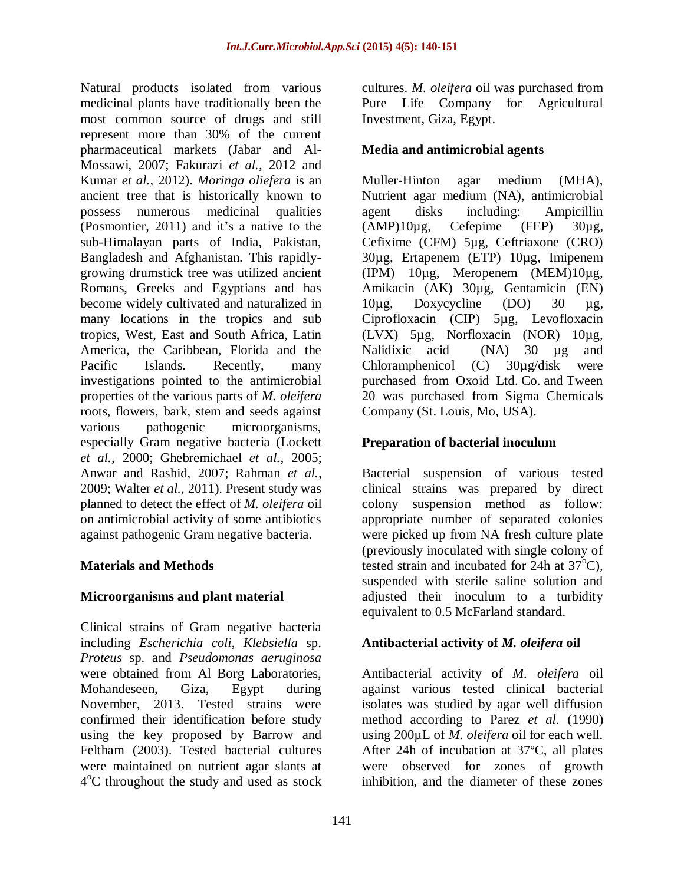Natural products isolated from various medicinal plants have traditionally been the most common source of drugs and still represent more than 30% of the current pharmaceutical markets (Jabar and Al-Mossawi, 2007; Fakurazi *et al.,* 2012 and Kumar *et al.,* 2012). *Moringa oliefera* is an ancient tree that is historically known to possess numerous medicinal qualities (Posmontier, 2011) and it's a native to the sub-Himalayan parts of India, Pakistan, Bangladesh and Afghanistan. This rapidlygrowing drumstick tree was utilized ancient Romans, Greeks and Egyptians and has become widely cultivated and naturalized in many locations in the tropics and sub tropics, West, East and South Africa, Latin America, the Caribbean, Florida and the Pacific Islands. Recently, many investigations pointed to the antimicrobial properties of the various parts of *M. oleifera* roots, flowers, bark, stem and seeds against various pathogenic microorganisms, especially Gram negative bacteria (Lockett *et al.,* 2000; Ghebremichael *et al.,* 2005; Anwar and Rashid, 2007; Rahman *et al.,* 2009; Walter *et al.,* 2011). Present study was planned to detect the effect of *M. oleifera* oil on antimicrobial activity of some antibiotics against pathogenic Gram negative bacteria.

## **Materials and Methods**

## **Microorganisms and plant material**

Clinical strains of Gram negative bacteria including *Escherichia coli*, *Klebsiella* sp. *Proteus* sp. and *Pseudomonas aeruginosa*  were obtained from Al Borg Laboratories, Mohandeseen, Giza, Egypt during November, 2013. Tested strains were confirmed their identification before study using the key proposed by Barrow and Feltham (2003). Tested bacterial cultures were maintained on nutrient agar slants at 4<sup>o</sup>C throughout the study and used as stock

cultures. *M. oleifera* oil was purchased from Pure Life Company for Agricultural Investment, Giza, Egypt.

## **Media and antimicrobial agents**

Muller-Hinton agar medium (MHA), Nutrient agar medium (NA), antimicrobial agent disks including: Ampicillin  $(AMP)10\mu$ g, Cefepime (FEP) 30 $\mu$ g, Cefixime (CFM) 5µg, Ceftriaxone (CRO) 30µg, Ertapenem (ETP) 10µg, Imipenem (IPM) 10µg, Meropenem (MEM)10µg, Amikacin (AK) 30µg, Gentamicin (EN) 10µg, Doxycycline (DO) 30 µg, Ciprofloxacin (CIP) 5µg, Levofloxacin (LVX) 5µg, Norfloxacin (NOR) 10µg, Nalidixic acid (NA) 30 µg and Chloramphenicol (C) 30µg/disk were purchased from Oxoid Ltd. Co. and Tween 20 was purchased from Sigma Chemicals Company (St. Louis, Mo, USA).

# **Preparation of bacterial inoculum**

Bacterial suspension of various tested clinical strains was prepared by direct colony suspension method as follow: appropriate number of separated colonies were picked up from NA fresh culture plate (previously inoculated with single colony of tested strain and incubated for 24h at  $37^{\circ}$ C). suspended with sterile saline solution and adjusted their inoculum to a turbidity equivalent to 0.5 McFarland standard.

# **Antibacterial activity of** *M. oleifera* **oil**

Antibacterial activity of *M. oleifera* oil against various tested clinical bacterial isolates was studied by agar well diffusion method according to Parez *et al.* (1990) using 200µL of *M. oleifera* oil for each well. After 24h of incubation at 37ºC, all plates were observed for zones of growth inhibition, and the diameter of these zones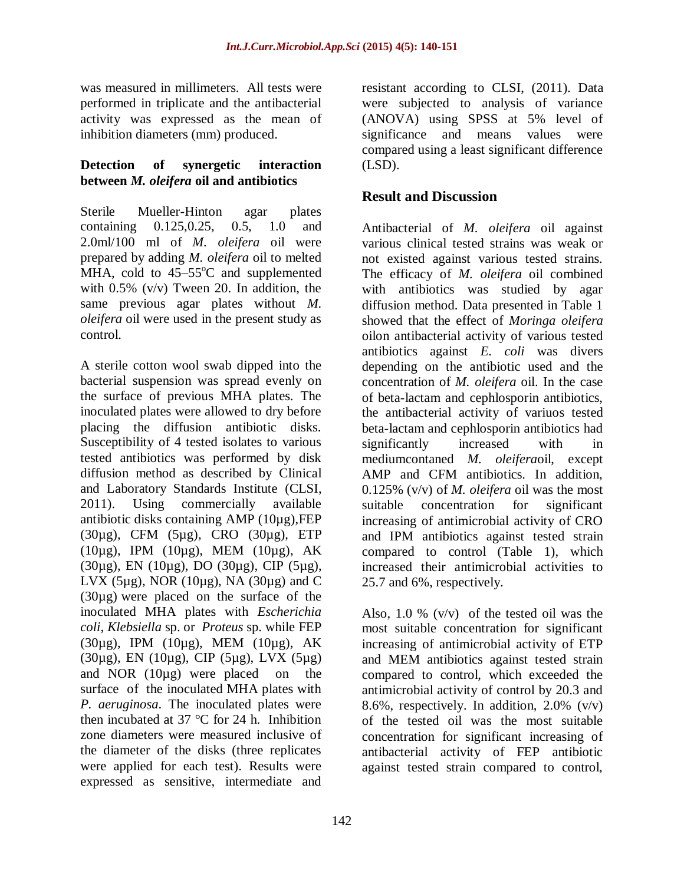was measured in millimeters. All tests were performed in triplicate and the antibacterial activity was expressed as the mean of inhibition diameters (mm) produced.

#### **Detection of synergetic interaction between** *M. oleifera* **oil and antibiotics**

Sterile Mueller-Hinton agar plates containing 0.125,0.25, 0.5, 1.0 and 2.0ml/100 ml of *M. oleifera* oil were prepared by adding *M. oleifera* oil to melted MHA, cold to  $45-55^{\circ}$ C and supplemented with 0.5% (v/v) Tween 20. In addition, the same previous agar plates without *M. oleifera* oil were used in the present study as control.

A sterile cotton wool swab dipped into the bacterial suspension was spread evenly on the surface of previous MHA plates. The inoculated plates were allowed to dry before placing the diffusion antibiotic disks. Susceptibility of 4 tested isolates to various tested antibiotics was performed by disk diffusion method as described by Clinical and Laboratory Standards Institute (CLSI, 2011). Using commercially available antibiotic disks containing AMP (10µg),FEP (30µg), CFM (5µg), CRO (30µg), ETP (10µg), IPM (10µg), MEM (10µg), AK (30µg), EN (10µg), DO (30µg), CIP (5µg), LVX (5 $\mu$ g), NOR (10 $\mu$ g), NA (30 $\mu$ g) and C (30µg) were placed on the surface of the inoculated MHA plates with *Escherichia coli*, *Klebsiella* sp. or *Proteus* sp. while FEP (30µg), IPM (10µg), MEM (10µg), AK (30µg), EN (10µg), CIP (5µg), LVX (5µg) and NOR (10µg) were placed on the surface of the inoculated MHA plates with *P. aeruginosa*. The inoculated plates were then incubated at 37  $\degree$ C for 24 h. Inhibition zone diameters were measured inclusive of the diameter of the disks (three replicates were applied for each test). Results were expressed as sensitive, intermediate and

resistant according to CLSI, (2011). Data were subjected to analysis of variance (ANOVA) using SPSS at 5% level of significance and means values were compared using a least significant difference (LSD).

## **Result and Discussion**

Antibacterial of *M. oleifera* oil against various clinical tested strains was weak or not existed against various tested strains. The efficacy of *M. oleifera* oil combined with antibiotics was studied by agar diffusion method. Data presented in Table 1 showed that the effect of *Moringa oleifera* oilon antibacterial activity of various tested antibiotics against *E. coli* was divers depending on the antibiotic used and the concentration of *M. oleifera* oil. In the case of beta-lactam and cephlosporin antibiotics, the antibacterial activity of variuos tested beta-lactam and cephlosporin antibiotics had significantly increased with in mediumcontaned *M. oleifera*oil, except AMP and CFM antibiotics. In addition, 0.125% (v/v) of *M. oleifera* oil was the most suitable concentration for significant increasing of antimicrobial activity of CRO and IPM antibiotics against tested strain compared to control (Table 1), which increased their antimicrobial activities to 25.7 and 6%, respectively.

Also, 1.0 %  $(v/v)$  of the tested oil was the most suitable concentration for significant increasing of antimicrobial activity of ETP and MEM antibiotics against tested strain compared to control, which exceeded the antimicrobial activity of control by 20.3 and 8.6%, respectively. In addition,  $2.0\%$  (v/v) of the tested oil was the most suitable concentration for significant increasing of antibacterial activity of FEP antibiotic against tested strain compared to control,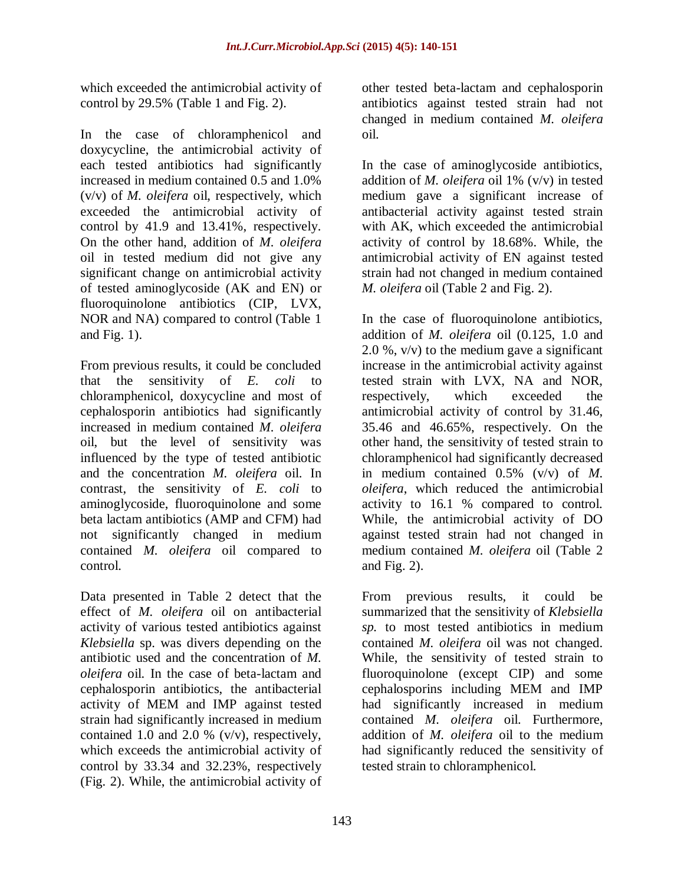which exceeded the antimicrobial activity of control by 29.5% (Table 1 and Fig. 2).

In the case of chloramphenicol and doxycycline, the antimicrobial activity of each tested antibiotics had significantly increased in medium contained 0.5 and 1.0% (v/v) of *M. oleifera* oil, respectively, which exceeded the antimicrobial activity of control by 41.9 and 13.41%, respectively. On the other hand, addition of *M. oleifera* oil in tested medium did not give any significant change on antimicrobial activity of tested aminoglycoside (AK and EN) or fluoroquinolone antibiotics (CIP, LVX, NOR and NA) compared to control (Table 1 and Fig. 1).

From previous results, it could be concluded that the sensitivity of *E. coli* to chloramphenicol, doxycycline and most of cephalosporin antibiotics had significantly increased in medium contained *M. oleifera* oil, but the level of sensitivity was influenced by the type of tested antibiotic and the concentration *M. oleifera* oil. In contrast, the sensitivity of *E. coli* to aminoglycoside, fluoroquinolone and some beta lactam antibiotics (AMP and CFM) had not significantly changed in medium contained *M. oleifera* oil compared to control.

Data presented in Table 2 detect that the effect of *M. oleifera* oil on antibacterial activity of various tested antibiotics against *Klebsiella* sp. was divers depending on the antibiotic used and the concentration of *M. oleifera* oil. In the case of beta-lactam and cephalosporin antibiotics, the antibacterial activity of MEM and IMP against tested strain had significantly increased in medium contained 1.0 and 2.0 % (v/v), respectively, which exceeds the antimicrobial activity of control by 33.34 and 32.23%, respectively (Fig. 2). While, the antimicrobial activity of

other tested beta-lactam and cephalosporin antibiotics against tested strain had not changed in medium contained *M. oleifera* oil.

In the case of aminoglycoside antibiotics, addition of *M. oleifera* oil 1% (v/v) in tested medium gave a significant increase of antibacterial activity against tested strain with AK, which exceeded the antimicrobial activity of control by 18.68%. While, the antimicrobial activity of EN against tested strain had not changed in medium contained *M. oleifera* oil (Table 2 and Fig. 2).

In the case of fluoroquinolone antibiotics, addition of *M. oleifera* oil (0.125, 1.0 and 2.0 %, v/v) to the medium gave a significant increase in the antimicrobial activity against tested strain with LVX, NA and NOR, respectively, which exceeded the antimicrobial activity of control by 31.46, 35.46 and 46.65%, respectively. On the other hand, the sensitivity of tested strain to chloramphenicol had significantly decreased in medium contained 0.5% (v/v) of *M. oleifera*, which reduced the antimicrobial activity to 16.1 % compared to control. While, the antimicrobial activity of DO against tested strain had not changed in medium contained *M. oleifera* oil (Table 2 and Fig. 2).

From previous results, it could be summarized that the sensitivity of *Klebsiella sp.* to most tested antibiotics in medium contained *M. oleifera* oil was not changed. While, the sensitivity of tested strain to fluoroquinolone (except CIP) and some cephalosporins including MEM and IMP had significantly increased in medium contained *M. oleifera* oil. Furthermore, addition of *M. oleifera* oil to the medium had significantly reduced the sensitivity of tested strain to chloramphenicol.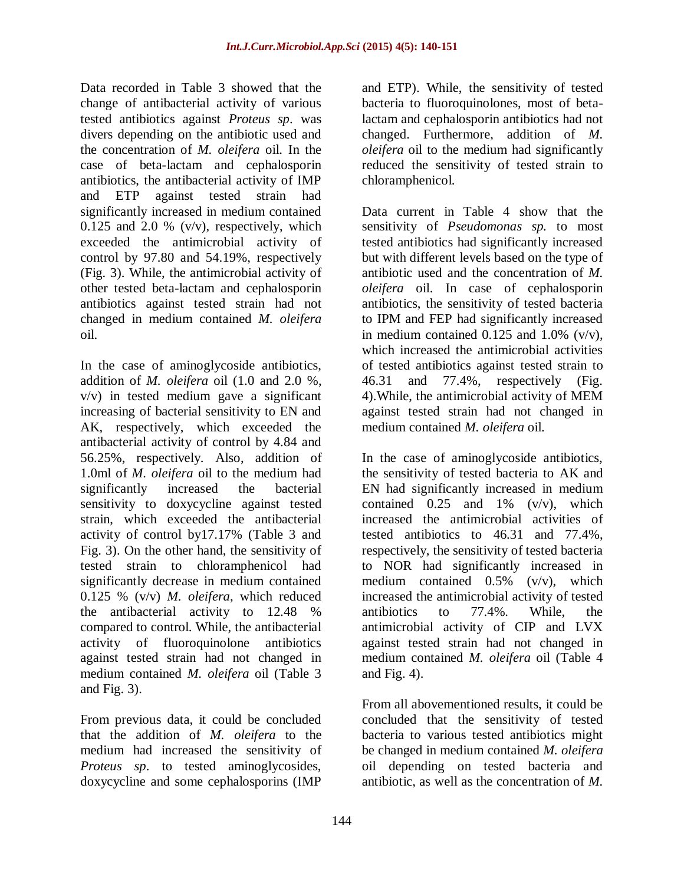Data recorded in Table 3 showed that the change of antibacterial activity of various tested antibiotics against *Proteus sp*. was divers depending on the antibiotic used and the concentration of *M. oleifera* oil. In the case of beta-lactam and cephalosporin antibiotics, the antibacterial activity of IMP and ETP against tested strain had significantly increased in medium contained 0.125 and 2.0 %  $(v/v)$ , respectively, which exceeded the antimicrobial activity of control by 97.80 and 54.19%, respectively (Fig. 3). While, the antimicrobial activity of other tested beta-lactam and cephalosporin antibiotics against tested strain had not changed in medium contained *M. oleifera* oil.

In the case of aminoglycoside antibiotics, addition of *M. oleifera* oil (1.0 and 2.0 %, v/v) in tested medium gave a significant increasing of bacterial sensitivity to EN and AK, respectively, which exceeded the antibacterial activity of control by 4.84 and 56.25%, respectively. Also, addition of 1.0ml of *M. oleifera* oil to the medium had significantly increased the bacterial sensitivity to doxycycline against tested strain, which exceeded the antibacterial activity of control by17.17% (Table 3 and Fig. 3). On the other hand, the sensitivity of tested strain to chloramphenicol had significantly decrease in medium contained 0.125 % (v/v) *M. oleifera*, which reduced the antibacterial activity to 12.48 % compared to control. While, the antibacterial activity of fluoroquinolone antibiotics against tested strain had not changed in medium contained *M. oleifera* oil (Table 3 and Fig. 3).

From previous data, it could be concluded that the addition of *M. oleifera* to the medium had increased the sensitivity of *Proteus sp*. to tested aminoglycosides, doxycycline and some cephalosporins (IMP

and ETP). While, the sensitivity of tested bacteria to fluoroquinolones, most of betalactam and cephalosporin antibiotics had not changed. Furthermore, addition of *M. oleifera* oil to the medium had significantly reduced the sensitivity of tested strain to chloramphenicol.

Data current in Table 4 show that the sensitivity of *Pseudomonas sp.* to most tested antibiotics had significantly increased but with different levels based on the type of antibiotic used and the concentration of *M. oleifera* oil. In case of cephalosporin antibiotics, the sensitivity of tested bacteria to IPM and FEP had significantly increased in medium contained  $0.125$  and  $1.0\%$  (v/v), which increased the antimicrobial activities of tested antibiotics against tested strain to 46.31 and 77.4%, respectively (Fig. 4).While, the antimicrobial activity of MEM against tested strain had not changed in medium contained *M. oleifera* oil.

In the case of aminoglycoside antibiotics, the sensitivity of tested bacteria to AK and EN had significantly increased in medium contained  $0.25$  and  $1\%$  (v/v), which increased the antimicrobial activities of tested antibiotics to 46.31 and 77.4%, respectively, the sensitivity of tested bacteria to NOR had significantly increased in medium contained  $0.5\%$  (v/v), which increased the antimicrobial activity of tested antibiotics to 77.4%. While, the antimicrobial activity of CIP and LVX against tested strain had not changed in medium contained *M. oleifera* oil (Table 4 and Fig. 4).

From all abovementioned results, it could be concluded that the sensitivity of tested bacteria to various tested antibiotics might be changed in medium contained *M. oleifera* oil depending on tested bacteria and antibiotic, as well as the concentration of *M.*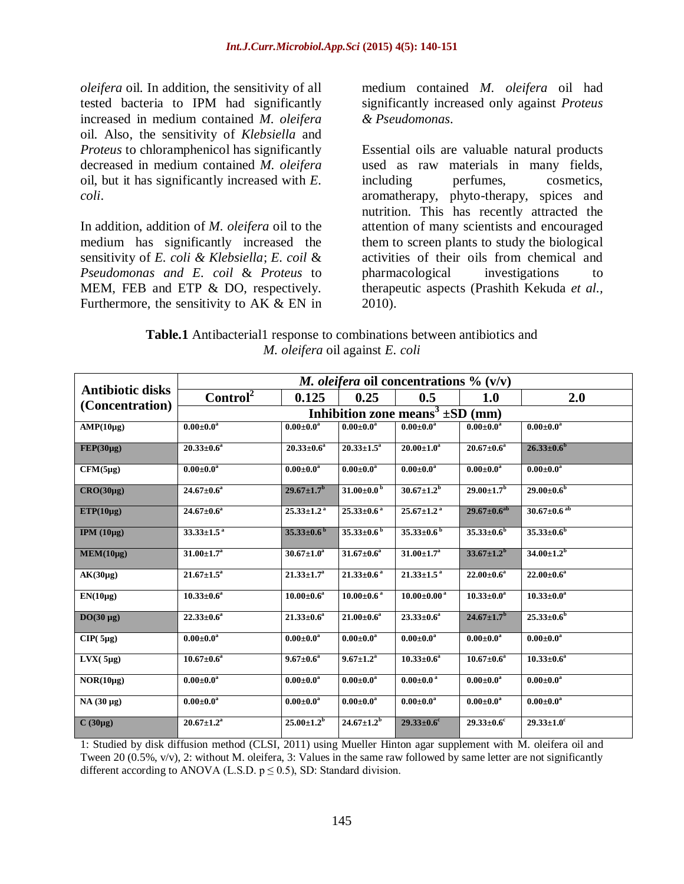*oleifera* oil. In addition, the sensitivity of all tested bacteria to IPM had significantly increased in medium contained *M. oleifera* oil. Also, the sensitivity of *Klebsiella* and *Proteus* to chloramphenicol has significantly decreased in medium contained *M. oleifera* oil, but it has significantly increased with *E. coli*.

In addition, addition of *M. oleifera* oil to the medium has significantly increased the sensitivity of *E. coli & Klebsiella*; *E. coil* & *Pseudomonas and E. coil* & *Proteus* to MEM, FEB and ETP & DO, respectively. Furthermore, the sensitivity to  $AK & EN$  in

medium contained *M. oleifera* oil had significantly increased only against *Proteus & Pseudomonas*.

Essential oils are valuable natural products used as raw materials in many fields, including perfumes, cosmetics, aromatherapy, phyto-therapy, spices and nutrition. This has recently attracted the attention of many scientists and encouraged them to screen plants to study the biological activities of their oils from chemical and pharmacological investigations to therapeutic aspects (Prashith Kekuda *et al.,* 2010).

**Table.1** Antibacterial1 response to combinations between antibiotics and *M. oleifera* oil against *E. coli*

| <b>Antibiotic disks</b><br>(Concentration) | <i>M. oleifera</i> oil concentrations $\%$ (v/v) |                              |                              |                              |                              |                               |  |
|--------------------------------------------|--------------------------------------------------|------------------------------|------------------------------|------------------------------|------------------------------|-------------------------------|--|
|                                            | Control <sup>2</sup>                             | 0.125                        | 0.25                         | 0.5                          | <b>1.0</b>                   | 2.0                           |  |
|                                            | Inhibition zone means <sup>3</sup> $\pm$ SD (mm) |                              |                              |                              |                              |                               |  |
| $AMP(10\mu g)$                             | $0.00 \pm 0.0^{\rm a}$                           | $0.00 \pm 0.0^a$             | $0.00 \pm 0.0^{\rm a}$       | $0.00 \pm 0.0^{\rm a}$       | $0.00 \pm 0.0^a$             | $0.00 \pm 0.0^a$              |  |
| $FEP(30\mu g)$                             | $20.33 \pm 0.6^a$                                | $20.33 \pm 0.6^a$            | $20.33 \pm 1.5^a$            | $20.00 \pm 1.0^a$            | $20.67 \pm 0.6^a$            | $26.33 \pm 0.6^b$             |  |
| $CFM(5\mu g)$                              | $0.00 \pm 0.0^{\rm a}$                           | $0.00 \pm 0.0^{\rm a}$       | $0.00 \pm 0.0^{\rm a}$       | $0.00 \pm 0.0^a$             | $0.00 \pm 0.0^{\rm a}$       | $0.00 \pm 0.0^{\rm a}$        |  |
| $CRO(30\mu g)$                             | $24.67 \pm 0.6^a$                                | $29.67 \pm 1.7^{\rm b}$      | 31.00 $\pm$ 0.0 <sup>b</sup> | $30.67 \pm 1.2^b$            | $29.00 \pm 1.7^{\rm b}$      | $29.00 \pm 0.6^{\rm b}$       |  |
| $ETP(10\mu g)$                             | $24.67 \pm 0.6^a$                                | $25.33 \pm 1.2$ <sup>a</sup> | $25.33 \pm 0.6^{\text{a}}$   | $25.67 \pm 1.2$ <sup>a</sup> | $29.67 \pm 0.6^{ab}$         | $30.67 \pm 0.6$ <sup>ab</sup> |  |
| IPM $(10\mu g)$                            | $33.33 \pm 1.5^{a}$                              | $35.33 \pm 0.6^{\mathrm{b}}$ | $35.33 \pm 0.6^{\mathrm{b}}$ | $35.33 \pm 0.6^{\circ}$      | $35.33 \pm 0.6^b$            | $35.33 \pm 0.6^b$             |  |
| MEM(10µg)                                  | $31.00 \pm 1.7^{\rm a}$                          | $30.67 \pm 1.0^a$            | $31.67 \pm 0.6^a$            | $31.00 \pm 1.7^{\rm a}$      | $33.67 \pm 1.2^b$            | $34.00 \pm 1.2^b$             |  |
| $AK(30\mu g)$                              | $21.67 \pm 1.5^{\mathrm{a}}$                     | $21.33 \pm 1.7^a$            | $21.33 \pm 0.6$ <sup>a</sup> | $21.33 \pm 1.5$ <sup>a</sup> | $22.00 \pm 0.6^a$            | $22.00 \pm 0.6^a$             |  |
| $EN(10\mu g)$                              | $10.33 \pm 0.6^a$                                | $10.00 \pm 0.6^a$            | $10.00 \pm 0.6$ <sup>a</sup> | $10.00 \pm 0.00^{\text{ a}}$ | $10.33 \pm 0.0^a$            | $10.33 \pm 0.0^a$             |  |
| $DO(30 \mu g)$                             | $22.33 \pm 0.6^a$                                | $21.33 \pm 0.6^a$            | $21.00 \pm 0.6^a$            | $23.33 \pm 0.6^a$            | $24.67 \pm 1.7^{\rm b}$      | $25.33 \pm 0.6^{\rm b}$       |  |
| $CIP(5\mu g)$                              | $0.00 \pm 0.0^a$                                 | $0.00 \pm 0.0^{\rm a}$       | $0.00 \pm 0.0^{\rm a}$       | $0.00 \pm 0.0^{\rm a}$       | $0.00 \pm 0.0^a$             | $0.00 \pm 0.0^a$              |  |
| $LVX(5\mu g)$                              | $10.67 \pm 0.6^a$                                | $9.67 \pm 0.6^{\rm a}$       | $9.67 \pm 1.2^{\rm a}$       | $10.33 \pm 0.6^a$            | $10.67 \pm 0.6^a$            | $10.33 \pm 0.6^a$             |  |
| $NOR(10\mu g)$                             | $0.00 \pm 0.0^{\rm a}$                           | $0.00 \pm 0.0^a$             | $0.00 \pm 0.0^{\rm a}$       | $0.00 \pm 0.0$ <sup>a</sup>  | $0.00 \pm 0.0^{\rm a}$       | $0.00 \pm 0.0^{\rm a}$        |  |
| NA (30 µg)                                 | $0.00 \pm 0.0^{\rm a}$                           | $0.00 \pm 0.0^{\rm a}$       | $0.00 \pm 0.0^{\rm a}$       | $0.00 \pm 0.0^{\rm a}$       | $0.00 \pm 0.0^{\rm a}$       | $0.00 \pm 0.0^{\rm a}$        |  |
| $C(30\mu g)$                               | $20.67 \pm 1.2^{\mathrm{a}}$                     | $25.00 \pm 1.2^{\rm b}$      | $24.67 \pm 1.2^b$            | $29.33 \pm 0.6$ <sup>c</sup> | $29.33 \pm 0.6$ <sup>c</sup> | $29.33 \pm 1.0^c$             |  |

1: Studied by disk diffusion method (CLSI, 2011) using Mueller Hinton agar supplement with M. oleifera oil and Tween 20 (0.5%, v/v), 2: without M. oleifera, 3: Values in the same raw followed by same letter are not significantly different according to ANOVA (L.S.D.  $p \le 0.5$ ), SD: Standard division.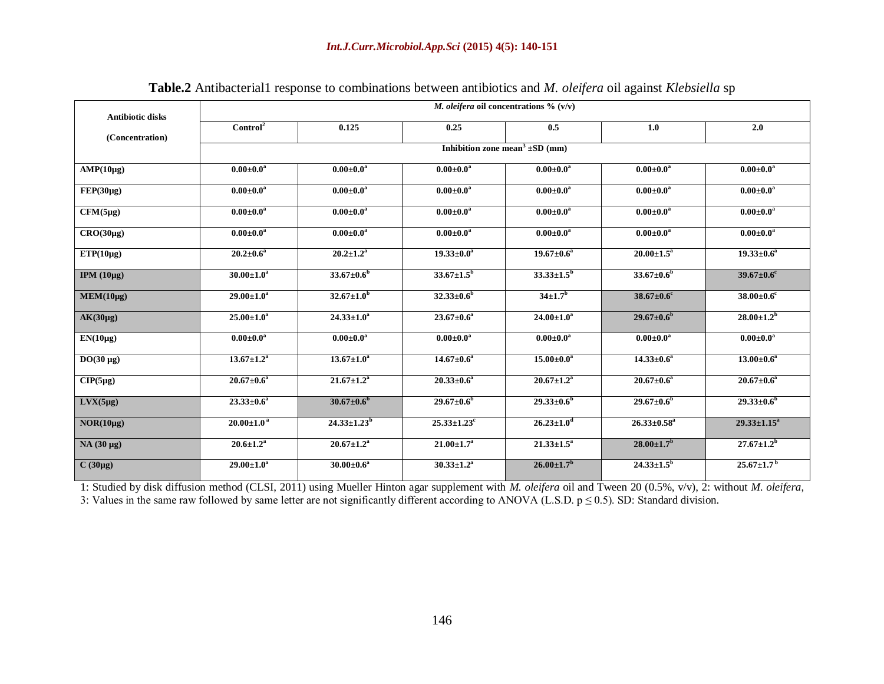| <b>Antibiotic disks</b> | <i>M. oleifera</i> oil concentrations $\%$ (v/v) |                                                 |                               |                         |                              |                              |  |  |
|-------------------------|--------------------------------------------------|-------------------------------------------------|-------------------------------|-------------------------|------------------------------|------------------------------|--|--|
| (Concentration)         | Control <sup>2</sup>                             | 0.125                                           | 0.25                          | 0.5                     | 1.0                          | 2.0                          |  |  |
|                         |                                                  | Inhibition zone mean <sup>3</sup> $\pm$ SD (mm) |                               |                         |                              |                              |  |  |
| $AMP(10\mu g)$          | $0.00 \pm 0.0^a$                                 | $0.00 \pm 0.0^a$                                | $0.00 \pm 0.0^{\rm a}$        | $0.00 \pm 0.0^a$        | $0.00 \pm 0.0^a$             | $0.00 \pm 0.0^a$             |  |  |
| $FEP(30\mu g)$          | $0.00 \pm 0.0^{\rm a}$                           | $0.00 \pm 0.0^a$                                | $0.00 \pm 0.0^a$              | $0.00 \pm 0.0^a$        | $0.00 \pm 0.0^a$             | $0.00 \pm 0.0^{\rm a}$       |  |  |
| $CFM(5\mu g)$           | $0.00 \pm 0.0^{\rm a}$                           | $0.00 \pm 0.0^{\rm a}$                          | $0.00 \pm 0.0^{\rm a}$        | $0.00 \pm 0.0^{\rm a}$  | $0.00 \pm 0.0^a$             | $0.00 \pm 0.0^{\rm a}$       |  |  |
| $CRO(30\mu g)$          | $0.00 \pm 0.0^{\rm a}$                           | $0.00 \pm 0.0^a$                                | $0.00 \pm 0.0^{\rm a}$        | $0.00 \pm 0.0^{\rm a}$  | $0.00 \pm 0.0^{\rm a}$       | $0.00 \pm 0.0^a$             |  |  |
| $ETP(10\mu g)$          | $20.2 \pm 0.6^{\rm a}$                           | $20.2 \pm 1.2^{\rm a}$                          | $19.33 \pm 0.0^a$             | $19.67 \pm 0.6^a$       | $20.00 \pm 1.5^{\rm a}$      | $19.33 \pm 0.6^a$            |  |  |
| IPM $(10\mu g)$         | $30.00 \pm 1.0^a$                                | $33.67 \pm 0.6^b$                               | $33.67 \pm 1.5^{\rm b}$       | $33.33 \pm 1.5^b$       | $33.67 \pm 0.6^b$            | $39.67 \pm 0.6$ <sup>c</sup> |  |  |
| $MEM(10\mu g)$          | $29.00 \pm 1.0^a$                                | $32.67 \pm 1.0^b$                               | $32.33 \pm 0.6^b$             | $34{\pm}1.7^{b}$        | $38.67 \pm 0.6$ <sup>c</sup> | $38.00 \pm 0.6$ <sup>c</sup> |  |  |
| $AK(30\mu g)$           | $25.00 \pm 1.0^a$                                | $24.33 \pm 1.0^a$                               | $23.67 \pm 0.6^a$             | $24.00 \pm 1.0^a$       | $29.67 \pm 0.6^b$            | $28.00 \pm 1.2^{\rm b}$      |  |  |
| $EN(10\mu g)$           | $0.00 \pm 0.0^{\rm a}$                           | $0.00 \pm 0.0^a$                                | $0.00 \pm 0.0^a$              | $0.00 \pm 0.0^a$        | $0.00 \pm 0.0^{\rm a}$       | $0.00 \pm 0.0^a$             |  |  |
| $DO(30 \mu g)$          | $13.67 \pm 1.2^a$                                | $13.67 \pm 1.0^a$                               | $14.67 \pm 0.6^a$             | $15.00 \pm 0.0^a$       | $14.33 \pm 0.6^a$            | $13.00 \pm 0.6^a$            |  |  |
| $CIP(5\mu g)$           | $20.67 \pm 0.6^a$                                | $21.67 \pm 1.2^a$                               | $20.33 \pm 0.6^a$             | $20.67 \pm 1.2^a$       | $20.67 \pm 0.6^a$            | $20.67 \pm 0.6^a$            |  |  |
| $Lvx(5\mu g)$           | $23.33 \pm 0.6^a$                                | $30.67 \pm 0.6^b$                               | $29.67 \pm 0.6^b$             | $29.33 \pm 0.6^b$       | $29.67 \pm 0.6^b$            | $29.33 \pm 0.6^b$            |  |  |
| $NOR(10\mu g)$          | $20.00 \pm 1.0^{\text{ a}}$                      | $24.33 \pm 1.23^b$                              | $25.33 \pm 1.23$ <sup>c</sup> | $26.23 \pm 1.0^d$       | $26.33 \pm 0.58^a$           | $29.33 \pm 1.15^a$           |  |  |
| NA (30 µg)              | $20.6 \pm 1.2^{\rm a}$                           | $20.67 \pm 1.2^a$                               | $21.00 \pm 1.7^{\rm a}$       | $21.33 \pm 1.5^a$       | $28.00 \pm 1.7^{\rm b}$      | $27.67 \pm 1.2^b$            |  |  |
| $C(30\mu g)$            | $29.00 \pm 1.0^a$                                | $30.00 \pm 0.6^a$                               | $30.33 \pm 1.2^a$             | $26.00 \pm 1.7^{\rm b}$ | $24.33 \pm 1.5^b$            | $25.67 \pm 1.7^{b}$          |  |  |

**Table.2** Antibacterial1 response to combinations between antibiotics and *M. oleifera* oil against *Klebsiella* sp

1: Studied by disk diffusion method (CLSI, 2011) using Mueller Hinton agar supplement with *M. oleifera* oil and Tween 20 (0.5%, v/v), 2: without *M. oleifera*, 3: Values in the same raw followed by same letter are not significantly different according to ANOVA (L.S.D.  $p \le 0.5$ ). SD: Standard division.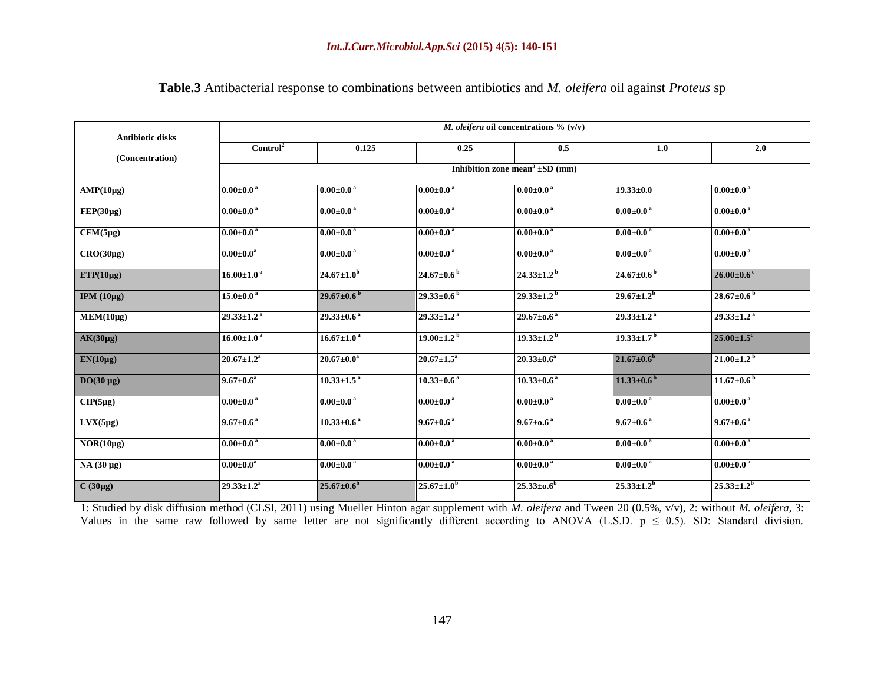| <b>Antibiotic disks</b><br>(Concentration) | M. oleifera oil concentrations $\%$ (v/v) |                              |                              |                                                 |                              |                              |  |
|--------------------------------------------|-------------------------------------------|------------------------------|------------------------------|-------------------------------------------------|------------------------------|------------------------------|--|
|                                            | Control <sup>2</sup>                      | 0.125                        | 0.25                         | 0.5                                             | 1.0                          | 2.0                          |  |
|                                            |                                           |                              |                              | Inhibition zone mean <sup>3</sup> $\pm$ SD (mm) |                              |                              |  |
| $AMP(10\mu g)$                             | $0.00 \pm 0.0^{\text{ a}}$                | $0.00 \pm 0.0^{\text{ a}}$   | $0.00 \pm 0.0^{\text{ a}}$   | $0.00 \pm 0.0^{\text{ a}}$                      | $19.33 \pm 0.0$              | $0.00 \pm 0.0$ <sup>a</sup>  |  |
| $FEP(30\mu g)$                             | $0.00 \pm 0.0$ <sup>a</sup>               | $0.00 \pm 0.0$ <sup>a</sup>  | $0.00 \pm 0.0$ <sup>a</sup>  | $0.00 \pm 0.0$ <sup>a</sup>                     | $0.00 \pm 0.0$ <sup>a</sup>  | $0.00 \pm 0.0$ <sup>a</sup>  |  |
| $CFM(5\mu g)$                              | $0.00 \pm 0.0$ <sup>a</sup>               | $0.00 \pm 0.0$ <sup>a</sup>  | $0.00 \pm 0.0$ <sup>a</sup>  | $0.00 \pm 0.0$ <sup>a</sup>                     | $0.00 \pm 0.0$ <sup>a</sup>  | $0.00 \pm 0.0$ <sup>a</sup>  |  |
| $CRO(30\mu g)$                             | $0.00 \pm 0.0^{\rm a}$                    | $0.00\pm0.0$ a               | $0.00 \pm 0.0$ <sup>a</sup>  | $0.00\pm0.0$ a                                  | $0.00 \pm 0.0$ <sup>a</sup>  | $0.00\pm0.0$ <sup>a</sup>    |  |
| $ETP(10\mu g)$                             | $16.00 \pm 1.0$ <sup>a</sup>              | $24.67 \pm 1.0^b$            | $24.67 \pm 0.6^{\mathrm{b}}$ | $24.33 \pm 1.2$ <sup>b</sup>                    | $24.67 \pm 0.6^{\mathrm{b}}$ | $26.00\pm0.6$ <sup>c</sup>   |  |
| IPM $(10\mu g)$                            | $15.0 \pm 0.0^{\text{ a}}$                | $29.67 \pm 0.6^{\circ}$      | $29.33 \pm 0.6^{b}$          | $29.33 \pm 1.2^{b}$                             | $29.67 \pm 1.2^{b}$          | $28.67 \pm 0.6^{\circ}$      |  |
| MEM(10µg)                                  | $29.33 \pm 1.2$ <sup>a</sup>              | $29.33 \pm 0.6$ <sup>a</sup> | $29.33 \pm 1.2$ <sup>a</sup> | $29.67 \pm 0.6^{\text{ a}}$                     | $29.33 \pm 1.2$ <sup>a</sup> | $29.33 \pm 1.2^{\text{a}}$   |  |
| $AK(30\mu g)$                              | $16.00 \pm 1.0^{\text{ a}}$               | $16.67 \pm 1.0^{\text{ a}}$  | $19.00 \pm 1.2^{b}$          | $19.33 \pm 1.2^{b}$                             | $19.33 \pm 1.7^{b}$          | $25.00 \pm 1.5$ <sup>c</sup> |  |
| $EN(10\mu g)$                              | $20.67 \pm 1.2^a$                         | $20.67 \pm 0.0^a$            | $20.67 \pm 1.5^{\mathrm{a}}$ | $20.33 \pm 0.6^a$                               | $21.67 \pm 0.6^{\rm b}$      | $21.00 \pm 1.2^{\mathrm{b}}$ |  |
| $DO(30 \mu g)$                             | $9.67 \pm 0.6^{\rm a}$                    | $10.33 \pm 1.5$ <sup>a</sup> | $10.33 \pm 0.6$ <sup>a</sup> | $10.33 \pm 0.6$ <sup>a</sup>                    | $11.33 \pm 0.6$ <sup>b</sup> | $11.67 \pm 0.6^{\mathrm{b}}$ |  |
| $CIP(5\mu g)$                              | $0.00 \pm 0.0$ <sup>a</sup>               | $0.00 \pm 0.0$ <sup>a</sup>  | $0.00 \pm 0.0$ <sup>a</sup>  | $0.00 \pm 0.0$ <sup>a</sup>                     | $0.00 \pm 0.0$ <sup>a</sup>  | $0.00 \pm 0.0$ <sup>a</sup>  |  |
| $LVX(5\mu g)$                              | $9.67 \pm 0.6^{a}$                        | $10.33 \pm 0.6$ <sup>a</sup> | $9.67 \pm 0.6^{\text{a}}$    | $9.67 \pm 0.6^{\text{ a}}$                      | $9.67 \pm 0.6$ <sup>a</sup>  | $9.67 \pm 0.6^{\text{a}}$    |  |
| $NOR(10\mu g)$                             | $0.00 \pm 0.0^{\text{ a}}$                | $0.00 \pm 0.0$ <sup>a</sup>  | $0.00 \pm 0.0^{\text{ a}}$   | $0.00 \pm 0.0$ <sup>a</sup>                     | $0.00 \pm 0.0$ <sup>a</sup>  | $0.00 \pm 0.0$ <sup>a</sup>  |  |
| $NA(30 \mu g)$                             | $0.00 \pm 0.0^{\rm a}$                    | $0.00 \pm 0.0$ <sup>a</sup>  | $0.00 \pm 0.0$ <sup>a</sup>  | $0.00 \pm 0.0$ <sup>a</sup>                     | $0.00 \pm 0.0$ <sup>a</sup>  | $0.00 \pm 0.0$ <sup>a</sup>  |  |
| $C(30\mu g)$                               | $29.33 \pm 1.2^a$                         | $25.67 \pm 0.6^b$            | $25.67 \pm 1.0^{b}$          | $25.33 \pm 0.6$ <sup>b</sup>                    | $25.33 \pm 1.2^{b}$          | $25.33 \pm 1.2^{b}$          |  |

**Table.3** Antibacterial response to combinations between antibiotics and *M. oleifera* oil against *Proteus* sp

1: Studied by disk diffusion method (CLSI, 2011) using Mueller Hinton agar supplement with *M. oleifera* and Tween 20 (0.5%, v/v), 2: without *M. oleifera*, 3: Values in the same raw followed by same letter are not significantly different according to ANOVA (L.S.D.  $p \le 0.5$ ). SD: Standard division.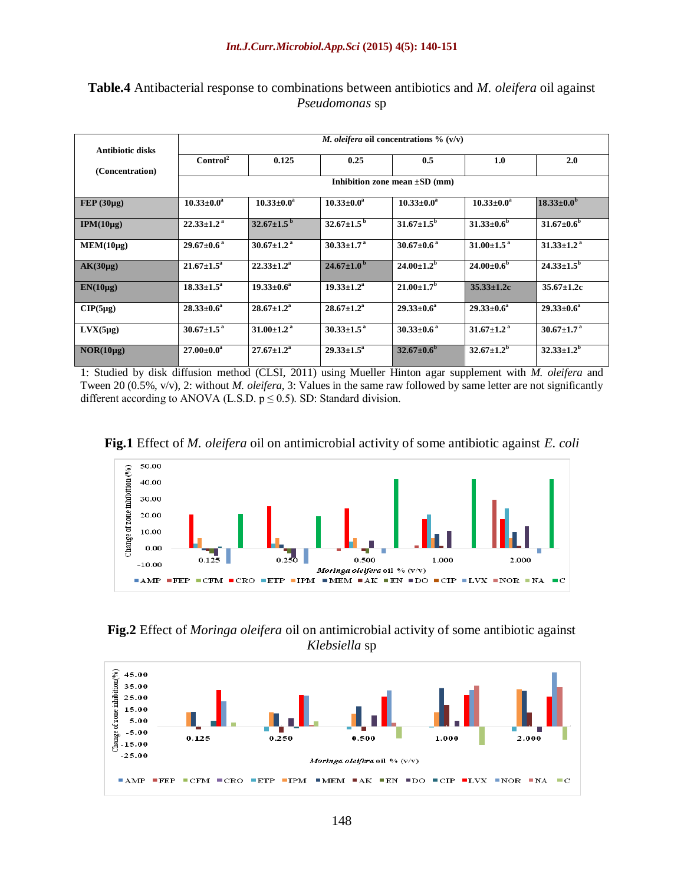| <b>Antibiotic disks</b> | <i>M. oleifera</i> oil concentrations $\%$ (v/v) |                              |                              |                            |                              |                              |  |
|-------------------------|--------------------------------------------------|------------------------------|------------------------------|----------------------------|------------------------------|------------------------------|--|
| (Concentration)         | Control <sup>2</sup>                             | 0.125                        | 0.25                         | 0.5                        | 1.0                          | 2.0                          |  |
|                         | Inhibition zone mean $\pm SD$ (mm)               |                              |                              |                            |                              |                              |  |
| $FEP(30\mu g)$          | $10.33 \pm 0.0^a$                                | $10.33 \pm 0.0^a$            | $10.33 \pm 0.0^a$            | $10.33 \pm 0.0^a$          | $10.33 \pm 0.0^a$            | $18.33 \pm 0.0^{\rm b}$      |  |
| $IPM(10\mu g)$          | $22.33 \pm 1.2$ <sup>a</sup>                     | $32.67 \pm 1.5^{\mathrm{b}}$ | $32.67 \pm 1.5^{\mathrm{b}}$ | $31.67 \pm 1.5^{\rm b}$    | $31.33 \pm 0.6^b$            | $31.67 \pm 0.6^{\rm b}$      |  |
| MEM(10µg)               | $29.67 \pm 0.6^{\text{a}}$                       | $30.67 \pm 1.2$ <sup>a</sup> | $30.33 \pm 1.7$ <sup>a</sup> | $30.67 \pm 0.6^{\text{a}}$ | $31.00 \pm 1.5^{\text{a}}$   | $31.33 \pm 1.2$ <sup>a</sup> |  |
| $AK(30\mu g)$           | $21.67 \pm 1.5^{\circ}$                          | $22.33 \pm 1.2^a$            | $24.67 \pm 1.0^{\mathrm{b}}$ | $24.00 \pm 1.2^{\rm b}$    | $24.00 \pm 0.6^{\circ}$      | $24.33 \pm 1.5^{\rm b}$      |  |
| $EN(10\mu g)$           | $18.33 \pm 1.5^{\circ}$                          | $19.33 \pm 0.6^a$            | $19.33 \pm 1.2^{\mathrm{a}}$ | $21.00 \pm 1.7^{\rm b}$    | $35.33 \pm 1.2c$             | $35.67 \pm 1.2c$             |  |
| $CIP(5\mu g)$           | $28.33 \pm 0.6^a$                                | $28.67 \pm 1.2^{\rm a}$      | $28.67 \pm 1.2^{\rm a}$      | $29.33 \pm 0.6^a$          | $29.33 \pm 0.6^a$            | $29.33 \pm 0.6^a$            |  |
| $Lvx(5\mu g)$           | $30.67 \pm 1.5^{\text{a}}$                       | $31.00 \pm 1.2$ <sup>a</sup> | $30.33 \pm 1.5^{\text{a}}$   | $30.33 \pm 0.6^{\text{a}}$ | $31.67 \pm 1.2$ <sup>a</sup> | $30.67 \pm 1.7$ <sup>a</sup> |  |
| $NOR(10\mu g)$          | $27.00 \pm 0.0^{\rm a}$                          | $27.67 \pm 1.2^{\rm a}$      | $29.33 \pm 1.5^{\circ}$      | $32.67 \pm 0.6^{\rm b}$    | $32.67 \pm 1.2^b$            | $32.33 \pm 1.2^b$            |  |

**Table.4** Antibacterial response to combinations between antibiotics and *M. oleifera* oil against *Pseudomonas* sp

1: Studied by disk diffusion method (CLSI, 2011) using Mueller Hinton agar supplement with *M. oleifera* and Tween 20 (0.5%, v/v), 2: without *M. oleifera*, 3: Values in the same raw followed by same letter are not significantly different according to ANOVA (L.S.D.  $p \le 0.5$ ). SD: Standard division.





**Fig.2** Effect of *Moringa oleifera* oil on antimicrobial activity of some antibiotic against *Klebsiella* sp

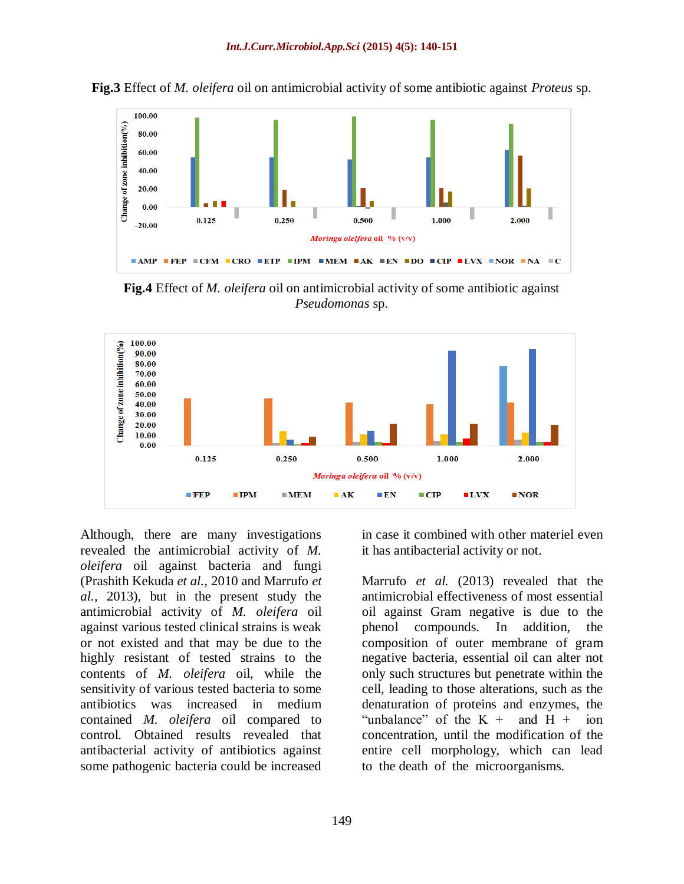

**Fig.3** Effect of *M. oleifera* oil on antimicrobial activity of some antibiotic against *Proteus* sp.

**Fig.4** Effect of *M. oleifera* oil on antimicrobial activity of some antibiotic against *Pseudomonas* sp.



Although, there are many investigations revealed the antimicrobial activity of *M. oleifera* oil against bacteria and fungi (Prashith Kekuda *et al.,* 2010 and Marrufo *et al.,* 2013), but in the present study the antimicrobial activity of *M. oleifera* oil against various tested clinical strains is weak or not existed and that may be due to the highly resistant of tested strains to the contents of *M. oleifera* oil, while the sensitivity of various tested bacteria to some antibiotics was increased in medium contained *M. oleifera* oil compared to control. Obtained results revealed that antibacterial activity of antibiotics against some pathogenic bacteria could be increased

in case it combined with other materiel even it has antibacterial activity or not.

Marrufo *et al.* (2013) revealed that the antimicrobial effectiveness of most essential oil against Gram negative is due to the phenol compounds. In addition, the composition of outer membrane of gram negative bacteria, essential oil can alter not only such structures but penetrate within the cell, leading to those alterations, such as the denaturation of proteins and enzymes, the "unbalance" of the  $K +$  and  $H +$  ion concentration, until the modification of the entire cell morphology, which can lead to the death of the microorganisms.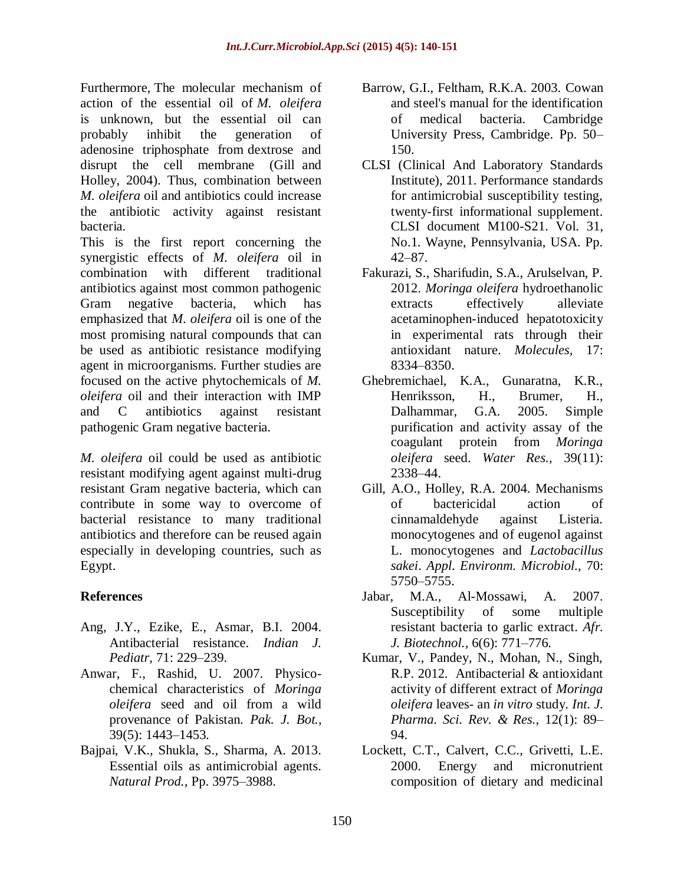Furthermore, The molecular mechanism of action of the essential oil of *M. oleifera* is unknown, but the essential oil can probably inhibit the generation of adenosine triphosphate from dextrose and disrupt the cell membrane (Gill and Holley, 2004). Thus, combination between *M. oleifera* oil and antibiotics could increase the antibiotic activity against resistant bacteria.

This is the first report concerning the synergistic effects of *M. oleifera* oil in combination with different traditional antibiotics against most common pathogenic Gram negative bacteria, which has emphasized that *M. oleifera* oil is one of the most promising natural compounds that can be used as antibiotic resistance modifying agent in microorganisms. Further studies are focused on the active phytochemicals of *M. oleifera* oil and their interaction with IMP and C antibiotics against resistant pathogenic Gram negative bacteria.

*M. oleifera* oil could be used as antibiotic resistant modifying agent against multi-drug resistant Gram negative bacteria, which can contribute in some way to overcome of bacterial resistance to many traditional antibiotics and therefore can be reused again especially in developing countries, such as Egypt.

## **References**

- Ang, J.Y., Ezike, E., Asmar, B.I. 2004. Antibacterial resistance. *Indian J. Pediatr,* 71: 229–239.
- Anwar, F., Rashid, U. 2007. Physicochemical characteristics of *Moringa oleifera* seed and oil from a wild provenance of Pakistan. *Pak. J. Bot.,*  39(5): 1443–1453.
- Bajpai, V.K., Shukla, [S.,](http://link.springer.com/search?facet-author=%22Shruti+Shukla%22) Sharma, [A. 2](http://link.springer.com/search?facet-author=%22Ajay+Sharma%22)013. Essential oils as antimicrobial agents. *[Natural Prod.,](http://link.springer.com/book/10.1007/978-3-642-22144-6)* Pp. 3975–3988.
- Barrow, G.I., Feltham, R.K.A. 2003. Cowan and steel's manual for the identification of medical bacteria. Cambridge University Press, Cambridge. Pp. 50– 150.
- CLSI (Clinical And Laboratory Standards Institute), 2011. Performance standards for antimicrobial susceptibility testing, twenty-first informational supplement. CLSI document M100-S21. Vol. 31, No.1. Wayne, Pennsylvania, USA. Pp. 42–87.
- Fakurazi, S., Sharifudin, S.A., Arulselvan, P. 2012. *Moringa oleifera* hydroethanolic extracts effectively alleviate acetaminophen-induced hepatotoxicity in experimental rats through their antioxidant nature. *Molecules,* 17: 8334–8350.
- Ghebremichael, K.A., Gunaratna, K.R., Henriksson, H., Brumer, H., Dalhammar, G.A. 2005. Simple purification and activity assay of the coagulant protein from *Moringa oleifera* seed. *Water Res.,* 39(11): 2338–44.
- Gill, A.O., Holley, R.A. 2004. Mechanisms of bactericidal action of cinnamaldehyde against Listeria. monocytogenes and of eugenol against L. monocytogenes and *Lactobacillus sakei*. *Appl. Environm. Microbiol.,* 70: 5750–5755.
- Jabar, M.A., Al-Mossawi, A. 2007. Susceptibility of some multiple resistant bacteria to garlic extract. *Afr. J. Biotechnol.,* 6(6): 771–776.
- Kumar, V., Pandey, N., Mohan, N., Singh, R.P. 2012. Antibacterial & antioxidant activity of different extract of *Moringa oleifera* leaves- an *in vitro* study. *Int. J. Pharma. Sci. Rev. & Res.,* 12(1): 89– 94.
- [Lockett, C.T.](http://www.ncbi.nlm.nih.gov/pubmed?term=Lockett%20CT%5BAuthor%5D&cauthor=true&cauthor_uid=10945116), [Calvert, C.C.](http://www.ncbi.nlm.nih.gov/pubmed?term=Calvert%20CC%5BAuthor%5D&cauthor=true&cauthor_uid=10945116), [Grivetti, L.E.](http://www.ncbi.nlm.nih.gov/pubmed?term=Grivetti%20LE%5BAuthor%5D&cauthor=true&cauthor_uid=10945116) 2000. Energy and micronutrient composition of dietary and medicinal